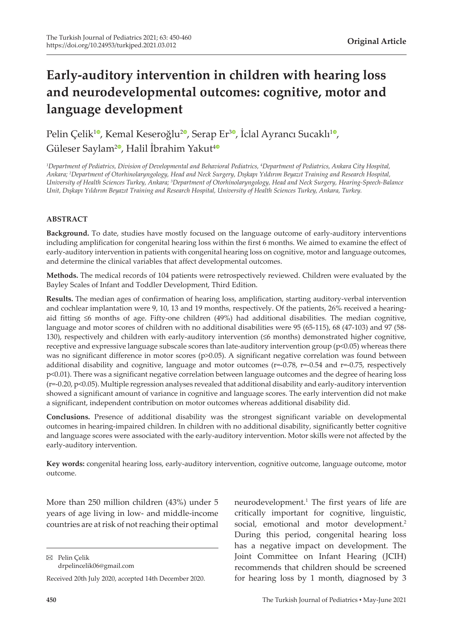# **Early-auditory intervention in children with hearing loss and neurodevelopmental outcomes: cognitive, motor and language development**

Pelin Çelik<sup>10</sup>[,](https://orcid.org/0000-0002-7093-3979) Kemal Keseroğlu<sup>20</sup>, Serap Er<sup>30</sup>, İclal Ayrancı Sucaklı<sup>[1](https://orcid.org/0000-0002-0995-2636)0</sup>, Güleser Saylam<sup>[2](https://orcid.org/0000-0002-6499-7140)0</sup>, Halil İbrahim Yakut<sup>[4](https://orcid.org/0000-0001-6946-4995)0</sup>

*1 Department of Pediatrics, Division of Developmental and Behavioral Pediatrics, 4 Department of Pediatrics, Ankara City Hospital, Ankara; <sup>2</sup> Department of Otorhinolaryngology, Head and Neck Surgery, Dışkapı Yıldırım Beyazıt Training and Research Hospital, University of Health Sciences Turkey, Ankara; 3 Department of Otorhinolaryngology, Head and Neck Surgery, Hearing-Speech-Balance Unit, Dışkapı Yıldırım Beyazıt Training and Research Hospital, University of Health Sciences Turkey, Ankara, Turkey.*

## **ABSTRACT**

**Background.** To date, studies have mostly focused on the language outcome of early-auditory interventions including amplification for congenital hearing loss within the first 6 months. We aimed to examine the effect of early-auditory intervention in patients with congenital hearing loss on cognitive, motor and language outcomes, and determine the clinical variables that affect developmental outcomes.

**Methods.** The medical records of 104 patients were retrospectively reviewed. Children were evaluated by the Bayley Scales of Infant and Toddler Development, Third Edition.

**Results.** The median ages of confirmation of hearing loss, amplification, starting auditory-verbal intervention and cochlear implantation were 9, 10, 13 and 19 months, respectively. Of the patients, 26% received a hearingaid fitting ≤6 months of age. Fifty-one children (49%) had additional disabilities. The median cognitive, language and motor scores of children with no additional disabilities were 95 (65-115), 68 (47-103) and 97 (58- 130), respectively and children with early-auditory intervention (≤6 months) demonstrated higher cognitive, receptive and expressive language subscale scores than late-auditory intervention group (p<0.05) whereas there was no significant difference in motor scores (p>0.05). A significant negative correlation was found between additional disability and cognitive, language and motor outcomes ( $r=0.78$ ,  $r=-0.54$  and  $r=-0.75$ , respectively p<0.01). There was a significant negative correlation between language outcomes and the degree of hearing loss (r=-0.20, p<0.05). Multiple regression analyses revealed that additional disability and early-auditory intervention showed a significant amount of variance in cognitive and language scores. The early intervention did not make a significant, independent contribution on motor outcomes whereas additional disability did.

**Conclusions.** Presence of additional disability was the strongest significant variable on developmental outcomes in hearing-impaired children. In children with no additional disability, significantly better cognitive and language scores were associated with the early-auditory intervention. Motor skills were not affected by the early-auditory intervention.

**Key words:** congenital hearing loss, early-auditory intervention, cognitive outcome, language outcome, motor outcome.

More than 250 million children (43%) under 5 years of age living in low- and middle-income countries are at risk of not reaching their optimal

Pelin Çelik drpelincelik06@gmail.com

neurodevelopment.<sup>1</sup> The first years of life are critically important for cognitive, linguistic, social, emotional and motor development.<sup>2</sup> During this period, congenital hearing loss has a negative impact on development. The Joint Committee on Infant Hearing (JCIH) recommends that children should be screened for hearing loss by 1 month, diagnosed by 3

Received 20th July 2020, accepted 14th December 2020.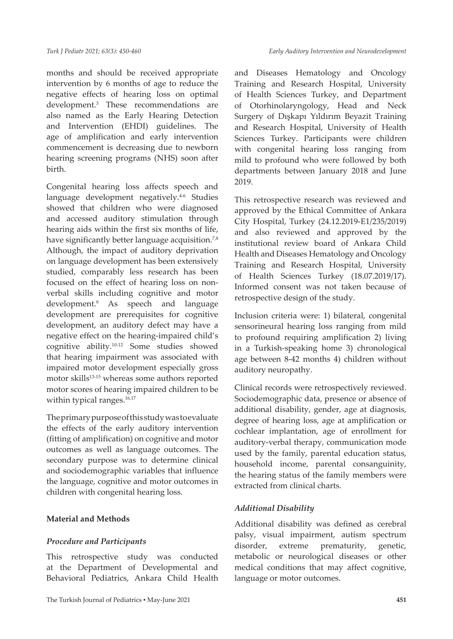months and should be received appropriate intervention by 6 months of age to reduce the negative effects of hearing loss on optimal development.3 These recommendations are also named as the Early Hearing Detection and Intervention (EHDI) guidelines. The age of amplification and early intervention commencement is decreasing due to newborn hearing screening programs (NHS) soon after birth.

Congenital hearing loss affects speech and language development negatively.<sup>4-6</sup> Studies showed that children who were diagnosed and accessed auditory stimulation through hearing aids within the first six months of life, have significantly better language acquisition.<sup>7,8</sup> Although, the impact of auditory deprivation on language development has been extensively studied, comparably less research has been focused on the effect of hearing loss on nonverbal skills including cognitive and motor development.<sup>9</sup> As speech and language development are prerequisites for cognitive development, an auditory defect may have a negative effect on the hearing-impaired child's cognitive ability.10-12 Some studies showed that hearing impairment was associated with impaired motor development especially gross motor skills<sup>13-15</sup> whereas some authors reported motor scores of hearing impaired children to be within typical ranges.<sup>16,17</sup>

The primary purpose of this study was to evaluate the effects of the early auditory intervention (fitting of amplification) on cognitive and motor outcomes as well as language outcomes. The secondary purpose was to determine clinical and sociodemographic variables that influence the language, cognitive and motor outcomes in children with congenital hearing loss.

## **Material and Methods**

## *Procedure and Participants*

This retrospective study was conducted at the Department of Developmental and Behavioral Pediatrics, Ankara Child Health and Diseases Hematology and Oncology Training and Research Hospital, University of Health Sciences Turkey, and Department of Otorhinolaryngology, Head and Neck Surgery of Dışkapı Yıldırım Beyazit Training and Research Hospital, University of Health Sciences Turkey. Participants were children with congenital hearing loss ranging from mild to profound who were followed by both departments between January 2018 and June 2019.

This retrospective research was reviewed and approved by the Ethical Committee of Ankara City Hospital, Turkey (24.12.2019-E1/235/2019) and also reviewed and approved by the institutional review board of Ankara Child Health and Diseases Hematology and Oncology Training and Research Hospital, University of Health Sciences Turkey (18.07.2019/17). Informed consent was not taken because of retrospective design of the study.

Inclusion criteria were: 1) bilateral, congenital sensorineural hearing loss ranging from mild to profound requiring amplification 2) living in a Turkish-speaking home 3) chronological age between 8-42 months 4) children without auditory neuropathy.

Clinical records were retrospectively reviewed. Sociodemographic data, presence or absence of additional disability, gender, age at diagnosis, degree of hearing loss, age at amplification or cochlear implantation, age of enrollment for auditory-verbal therapy, communication mode used by the family, parental education status, household income, parental consanguinity, the hearing status of the family members were extracted from clinical charts.

## *Additional Disability*

Additional disability was defined as cerebral palsy, visual impairment, autism spectrum disorder, extreme prematurity, genetic, metabolic or neurological diseases or other medical conditions that may affect cognitive, language or motor outcomes.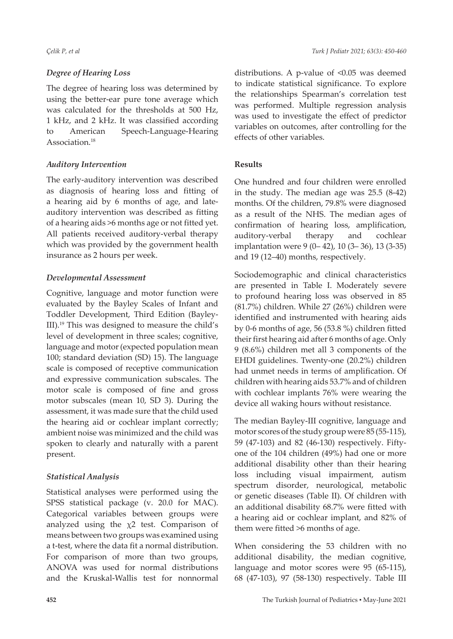## *Degree of Hearing Loss*

The degree of hearing loss was determined by using the better-ear pure tone average which was calculated for the thresholds at 500 Hz, 1 kHz, and 2 kHz. It was classified according to American Speech-Language-Hearing Association.<sup>18</sup>

# *Auditory Intervention*

The early-auditory intervention was described as diagnosis of hearing loss and fitting of a hearing aid by 6 months of age, and lateauditory intervention was described as fitting of a hearing aids >6 months age or not fitted yet. All patients received auditory-verbal therapy which was provided by the government health insurance as 2 hours per week.

# *Developmental Assessment*

Cognitive, language and motor function were evaluated by the Bayley Scales of Infant and Toddler Development, Third Edition (Bayley-III).19 This was designed to measure the child's level of development in three scales; cognitive, language and motor (expected population mean 100; standard deviation (SD) 15). The language scale is composed of receptive communication and expressive communication subscales. The motor scale is composed of fine and gross motor subscales (mean 10, SD 3). During the assessment, it was made sure that the child used the hearing aid or cochlear implant correctly; ambient noise was minimized and the child was spoken to clearly and naturally with a parent present.

# *Statistical Analysis*

Statistical analyses were performed using the SPSS statistical package (v. 20.0 for MAC). Categorical variables between groups were analyzed using the  $\chi$ 2 test. Comparison of means between two groups was examined using a t-test, where the data fit a normal distribution. For comparison of more than two groups, ANOVA was used for normal distributions and the Kruskal-Wallis test for nonnormal distributions. A p-value of <0.05 was deemed to indicate statistical significance. To explore the relationships Spearman's correlation test was performed. Multiple regression analysis was used to investigate the effect of predictor variables on outcomes, after controlling for the effects of other variables.

# **Results**

One hundred and four children were enrolled in the study. The median age was 25.5 (8-42) months. Of the children, 79.8% were diagnosed as a result of the NHS. The median ages of confirmation of hearing loss, amplification, auditory-verbal therapy and cochlear implantation were 9 (0– 42), 10 (3– 36), 13 (3-35) and 19 (12–40) months, respectively.

Sociodemographic and clinical characteristics are presented in Table I. Moderately severe to profound hearing loss was observed in 85 (81.7%) children. While 27 (26%) children were identified and instrumented with hearing aids by 0-6 months of age, 56 (53.8 %) children fitted their first hearing aid after 6 months of age. Only 9 (8.6%) children met all 3 components of the EHDI guidelines. Twenty-one (20.2%) children had unmet needs in terms of amplification. Of children with hearing aids 53.7% and of children with cochlear implants 76% were wearing the device all waking hours without resistance.

The median Bayley-III cognitive, language and motor scores of the study group were 85 (55-115), 59 (47-103) and 82 (46-130) respectively. Fiftyone of the 104 children (49%) had one or more additional disability other than their hearing loss including visual impairment, autism spectrum disorder, neurological, metabolic or genetic diseases (Table II). Of children with an additional disability 68.7% were fitted with a hearing aid or cochlear implant, and 82% of them were fitted >6 months of age.

When considering the 53 children with no additional disability, the median cognitive, language and motor scores were 95 (65-115), 68 (47-103), 97 (58-130) respectively. Table III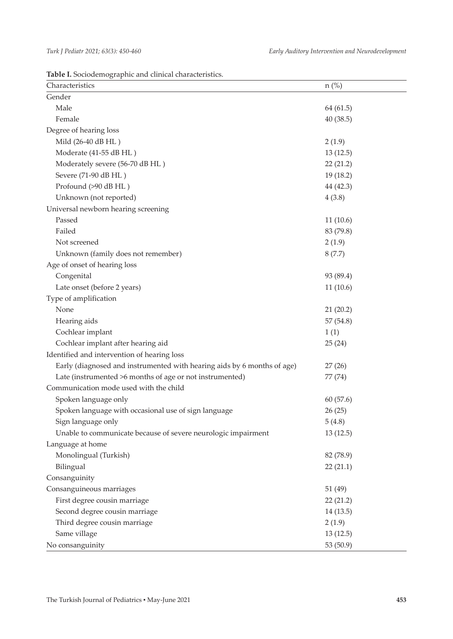**Table I.** Sociodemographic and clinical characteristics.

| Characteristics                                                         | $n$ (%)   |  |  |  |
|-------------------------------------------------------------------------|-----------|--|--|--|
| Gender                                                                  |           |  |  |  |
| Male                                                                    | 64 (61.5) |  |  |  |
| Female                                                                  | 40(38.5)  |  |  |  |
| Degree of hearing loss                                                  |           |  |  |  |
| Mild (26-40 dB HL)                                                      | 2(1.9)    |  |  |  |
| Moderate (41-55 dB HL)                                                  | 13(12.5)  |  |  |  |
| Moderately severe (56-70 dB HL)                                         | 22(21.2)  |  |  |  |
| Severe (71-90 dB HL)                                                    | 19(18.2)  |  |  |  |
| Profound (>90 dB HL)                                                    | 44 (42.3) |  |  |  |
| Unknown (not reported)                                                  | 4(3.8)    |  |  |  |
| Universal newborn hearing screening                                     |           |  |  |  |
| Passed                                                                  | 11(10.6)  |  |  |  |
| Failed                                                                  | 83 (79.8) |  |  |  |
| Not screened                                                            | 2(1.9)    |  |  |  |
| Unknown (family does not remember)                                      | 8(7.7)    |  |  |  |
| Age of onset of hearing loss                                            |           |  |  |  |
| Congenital                                                              | 93 (89.4) |  |  |  |
| Late onset (before 2 years)                                             | 11(10.6)  |  |  |  |
| Type of amplification                                                   |           |  |  |  |
| None                                                                    | 21(20.2)  |  |  |  |
| Hearing aids                                                            | 57(54.8)  |  |  |  |
| Cochlear implant                                                        | 1(1)      |  |  |  |
| Cochlear implant after hearing aid                                      | 25(24)    |  |  |  |
| Identified and intervention of hearing loss                             |           |  |  |  |
| Early (diagnosed and instrumented with hearing aids by 6 months of age) | 27(26)    |  |  |  |
| Late (instrumented >6 months of age or not instrumented)                | 77 (74)   |  |  |  |
| Communication mode used with the child                                  |           |  |  |  |
| Spoken language only                                                    | 60(57.6)  |  |  |  |
| Spoken language with occasional use of sign language                    | 26(25)    |  |  |  |
| Sign language only                                                      | 5(4.8)    |  |  |  |
| Unable to communicate because of severe neurologic impairment           | 13(12.5)  |  |  |  |
| Language at home                                                        |           |  |  |  |
| Monolingual (Turkish)                                                   | 82 (78.9) |  |  |  |
| Bilingual                                                               | 22(21.1)  |  |  |  |
| Consanguinity                                                           |           |  |  |  |
| Consanguineous marriages                                                | 51 (49)   |  |  |  |
| First degree cousin marriage                                            | 22(21.2)  |  |  |  |
| Second degree cousin marriage                                           | 14(13.5)  |  |  |  |
| Third degree cousin marriage                                            | 2(1.9)    |  |  |  |
| Same village                                                            | 13(12.5)  |  |  |  |
| No consanguinity                                                        | 53 (50.9) |  |  |  |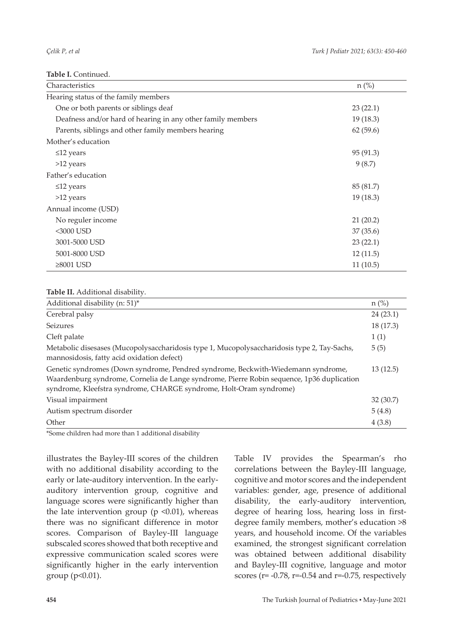**Table I.** Continued.

| Characteristics                                             | $n$ (%)   |
|-------------------------------------------------------------|-----------|
| Hearing status of the family members                        |           |
| One or both parents or siblings deaf                        | 23(22.1)  |
| Deafness and/or hard of hearing in any other family members | 19(18.3)  |
| Parents, siblings and other family members hearing          | 62(59.6)  |
| Mother's education                                          |           |
| $\leq$ 12 years                                             | 95 (91.3) |
| >12 years                                                   | 9(8.7)    |
| Father's education                                          |           |
| $\leq$ 12 years                                             | 85 (81.7) |
| $>12$ years                                                 | 19(18.3)  |
| Annual income (USD)                                         |           |
| No reguler income                                           | 21(20.2)  |
| <3000 USD                                                   | 37(35.6)  |
| 3001-5000 USD                                               | 23(22.1)  |
| 5001-8000 USD                                               | 12(11.5)  |
| $\geq 8001$ USD                                             | 11(10.5)  |

#### **Table II.** Additional disability.

| Additional disability (n: 51)*                                                                                                                                                                                                                      | $n$ (%)   |
|-----------------------------------------------------------------------------------------------------------------------------------------------------------------------------------------------------------------------------------------------------|-----------|
| Cerebral palsy                                                                                                                                                                                                                                      | 24(23.1)  |
| Seizures                                                                                                                                                                                                                                            | 18 (17.3) |
| Cleft palate                                                                                                                                                                                                                                        | 1(1)      |
| Metabolic disesases (Mucopolysaccharidosis type 1, Mucopolysaccharidosis type 2, Tay-Sachs,<br>mannosidosis, fatty acid oxidation defect)                                                                                                           | 5(5)      |
| Genetic syndromes (Down syndrome, Pendred syndrome, Beckwith-Wiedemann syndrome,<br>Waardenburg syndrome, Cornelia de Lange syndrome, Pierre Robin sequence, 1p36 duplication<br>syndrome, Kleefstra syndrome, CHARGE syndrome, Holt-Oram syndrome) | 13(12.5)  |
| Visual impairment                                                                                                                                                                                                                                   | 32(30.7)  |
| Autism spectrum disorder                                                                                                                                                                                                                            | 5(4.8)    |
| Other                                                                                                                                                                                                                                               | 4(3.8)    |

\*Some children had more than 1 additional disability

illustrates the Bayley-III scores of the children with no additional disability according to the early or late-auditory intervention. In the earlyauditory intervention group, cognitive and language scores were significantly higher than the late intervention group ( $p \le 0.01$ ), whereas there was no significant difference in motor scores. Comparison of Bayley-III language subscaled scores showed that both receptive and expressive communication scaled scores were significantly higher in the early intervention group (p<0.01).

Table IV provides the Spearman's rho correlations between the Bayley-III language, cognitive and motor scores and the independent variables: gender, age, presence of additional disability, the early-auditory intervention, degree of hearing loss, hearing loss in firstdegree family members, mother's education >8 years, and household income. Of the variables examined, the strongest significant correlation was obtained between additional disability and Bayley-III cognitive, language and motor scores ( $r = -0.78$ ,  $r = -0.54$  and  $r = -0.75$ , respectively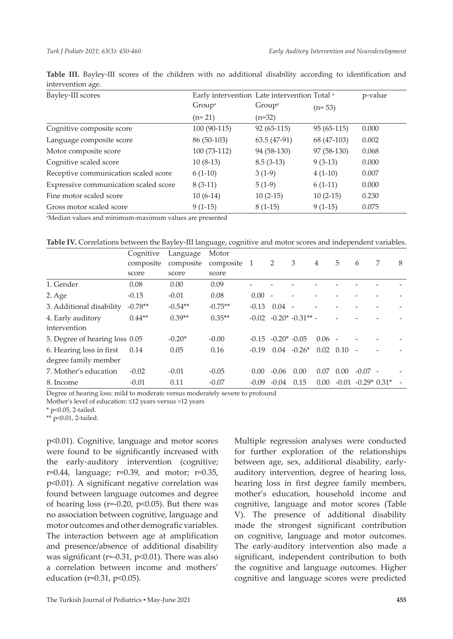| Bayley-III scores                     | Early intervention Late intervention Total a |                    | p-value      |       |  |
|---------------------------------------|----------------------------------------------|--------------------|--------------|-------|--|
|                                       | Group <sup>a</sup>                           | Group <sup>a</sup> | $(n=53)$     |       |  |
|                                       | $(n=21)$                                     | $(n=32)$           |              |       |  |
| Cognitive composite score             | 100 (90-115)                                 | $92(65-115)$       | $95(65-115)$ | 0.000 |  |
| Language composite score              | 86 (50-103)                                  | $63.5(47-91)$      | 68 (47-103)  | 0.002 |  |
| Motor composite score                 | 100 (73-112)                                 | 94 (58-130)        | 97 (58-130)  | 0.068 |  |
| Cognitive scaled score                | $10(8-13)$                                   | $8.5(3-13)$        | $9(3-13)$    | 0.000 |  |
| Receptive communication scaled score  | $6(1-10)$                                    | $3(1-9)$           | $4(1-10)$    | 0.007 |  |
| Expressive communication scaled score | $8(3-11)$                                    | $5(1-9)$           | $6(1-11)$    | 0.000 |  |
| Fine motor scaled score               | $10(6-14)$                                   | $10(2-15)$         | $10(2-15)$   | 0.230 |  |
| Gross motor scaled score              | $9(1-15)$                                    | $8(1-15)$          | $9(1-15)$    | 0.075 |  |

**Table III.** Bayley-III scores of the children with no additional disability according to identification and intervention age.

a Median values and minimum-maximum values are presented

|                                                  | Cognitive | Language  | Motor       |          |                          |                              |                   |      |                          |   |   |
|--------------------------------------------------|-----------|-----------|-------------|----------|--------------------------|------------------------------|-------------------|------|--------------------------|---|---|
|                                                  | composite | composite | composite 1 |          | 2                        | 3                            | $\overline{4}$    | 5    | 6                        | 7 | 8 |
|                                                  | score     | score     | score       |          |                          |                              |                   |      |                          |   |   |
| 1. Gender                                        | 0.08      | 0.00      | 0.09        |          |                          |                              |                   |      |                          |   |   |
| $2. \text{Age}$                                  | $-0.15$   | $-0.01$   | 0.08        | $0.00 -$ |                          |                              |                   |      |                          |   |   |
| 3. Additional disability                         | $-0.78**$ | $-0.54**$ | $-0.75**$   | $-0.13$  | 0.04                     | $\overline{a}$               |                   |      |                          |   |   |
| 4. Early auditory<br>intervention                | $0.44**$  | $0.39**$  | $0.35**$    |          |                          | $-0.02 - 0.20^* - 0.31^{**}$ |                   |      |                          |   |   |
| 5. Degree of hearing loss 0.05                   |           | $-0.20*$  | $-0.00$     |          | $-0.15$ $-0.20*$ $-0.05$ |                              | $0.06 -$          |      |                          |   |   |
| 6. Hearing loss in first<br>degree family member | 0.14      | 0.05      | 0.16        | $-0.19$  | 0.04                     | $-0.26*$                     | $0.02 \quad 0.10$ |      |                          |   |   |
| 7. Mother's education                            | $-0.02$   | $-0.01$   | $-0.05$     | 0.00     | $-0.06$                  | 0.00                         | 0.07              | 0.00 | $-0.07 -$                |   |   |
| 8. Income                                        | $-0.01$   | 0.11      | $-0.07$     | $-0.09$  | $-0.04$                  | 0.15                         | 0.00              |      | $-0.01$ $-0.29*$ $0.31*$ |   |   |

Degree of hearing loss: mild to moderate versus moderately severe to profound

Mother's level of education: ≤12 years versus >12 years

\* p<0.05, 2-tailed.

\*\* p<0.01, 2-tailed.

p<0.01). Cognitive, language and motor scores were found to be significantly increased with the early-auditory intervention (cognitive;  $r=0.44$ , language;  $r=0.39$ , and motor;  $r=0.35$ , p<0.01). A significant negative correlation was found between language outcomes and degree of hearing loss ( $r=0.20$ ,  $p<0.05$ ). But there was no association between cognitive, language and motor outcomes and other demografic variables. The interaction between age at amplification and presence/absence of additional disability was significant ( $r=0.31$ ,  $p<0.01$ ). There was also a correlation between income and mothers' education (r=0.31, p<0.05).

Multiple regression analyses were conducted for further exploration of the relationships between age, sex, additional disability, earlyauditory intervention, degree of hearing loss, hearing loss in first degree family members, mother's education, household income and cognitive, language and motor scores (Table V). The presence of additional disability made the strongest significant contribution on cognitive, language and motor outcomes. The early-auditory intervention also made a significant, independent contribution to both the cognitive and language outcomes. Higher cognitive and language scores were predicted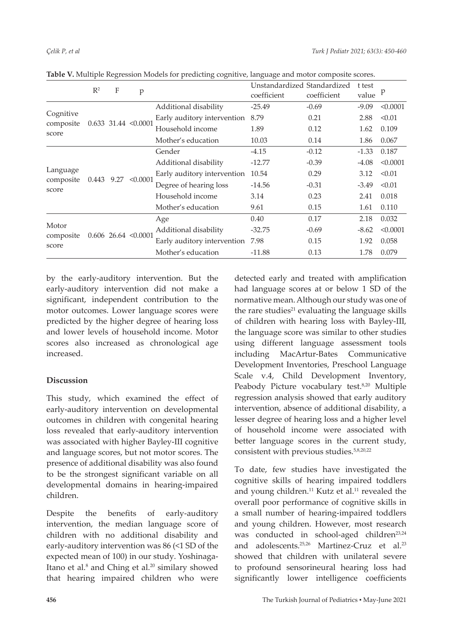|                                | $\mathbb{R}^2$ | F                        | p                       |                                  | Unstandardized Standardized<br>coefficient | coefficient | t test<br>value | p        |
|--------------------------------|----------------|--------------------------|-------------------------|----------------------------------|--------------------------------------------|-------------|-----------------|----------|
| Cognitive                      |                | $0.633$ 31.44 < $0.0001$ |                         | Additional disability            | $-25.49$                                   | $-0.69$     | $-9.09$         | < 0.0001 |
|                                |                |                          |                         | Early auditory intervention      | 8.79                                       | 0.21        | 2.88            | < 0.01   |
| composite<br>score             |                |                          |                         | Household income                 | 1.89                                       |             | 1.62            | 0.109    |
|                                |                |                          |                         | Mother's education               | 10.03                                      | 0.14        | 1.86            | 0.067    |
| Language<br>composite<br>score |                |                          |                         | Gender                           | $-4.15$                                    | $-0.12$     | $-1.33$         | 0.187    |
|                                |                |                          | $0.443$ 9.27 < $0.0001$ | Additional disability            | $-12.77$                                   |             | $-4.08$         | < 0.0001 |
|                                |                |                          |                         | Early auditory intervention      | 10.54                                      | 0.29        | 3.12            | < 0.01   |
|                                |                |                          |                         | Degree of hearing loss           | $-14.56$                                   | $-0.31$     | $-3.49$         | < 0.01   |
|                                |                |                          |                         | Household income                 | 3.14                                       | 0.23        | 2.41            | 0.018    |
|                                |                |                          |                         | Mother's education               | 9.61                                       | 0.15        | 1.61            | 0.110    |
| Motor<br>composite<br>score    |                |                          |                         | Age                              | 0.40                                       | 0.17        | 2.18            | 0.032    |
|                                |                |                          | $0.606$ 26.64 < 0.0001  | Additional disability            | $-32.75$                                   | $-0.69$     | $-8.62$         | < 0.0001 |
|                                |                |                          |                         | Early auditory intervention 7.98 |                                            | 0.15        | 1.92            | 0.058    |
|                                |                |                          |                         | Mother's education               | $-11.88$                                   | 0.13        | 1.78            | 0.079    |

**Table V.** Multiple Regression Models for predicting cognitive, language and motor composite scores.

by the early-auditory intervention. But the early-auditory intervention did not make a significant, independent contribution to the motor outcomes. Lower language scores were predicted by the higher degree of hearing loss and lower levels of household income. Motor scores also increased as chronological age increased.

## **Discussion**

This study, which examined the effect of early-auditory intervention on developmental outcomes in children with congenital hearing loss revealed that early-auditory intervention was associated with higher Bayley-III cognitive and language scores, but not motor scores. The presence of additional disability was also found to be the strongest significant variable on all developmental domains in hearing-impaired children.

Despite the benefits of early-auditory intervention, the median language score of children with no additional disability and early-auditory intervention was 86 (<1 SD of the expected mean of 100) in our study. Yoshinaga-Itano et al.<sup>8</sup> and Ching et al.<sup>20</sup> similary showed that hearing impaired children who were

detected early and treated with amplification had language scores at or below 1 SD of the normative mean. Although our study was one of the rare studies $21$  evaluating the language skills of children with hearing loss with Bayley-III, the language score was similar to other studies using different language assessment tools including MacArtur-Bates Communicative Development Inventories, Preschool Language Scale v.4, Child Development Inventory, Peabody Picture vocabulary test.<sup>8,20</sup> Multiple regression analysis showed that early auditory intervention, absence of additional disability, a lesser degree of hearing loss and a higher level of household income were associated with better language scores in the current study, consistent with previous studies.5,8,20,22

To date, few studies have investigated the cognitive skills of hearing impaired toddlers and young children.<sup>11</sup> Kutz et al.<sup>11</sup> revealed the overall poor performance of cognitive skills in a small number of hearing-impaired toddlers and young children. However, most research was conducted in school-aged children<sup>23,24</sup> and adolescents.<sup>25,26</sup> Martinez-Cruz et al.<sup>23</sup> showed that children with unilateral severe to profound sensorineural hearing loss had significantly lower intelligence coefficients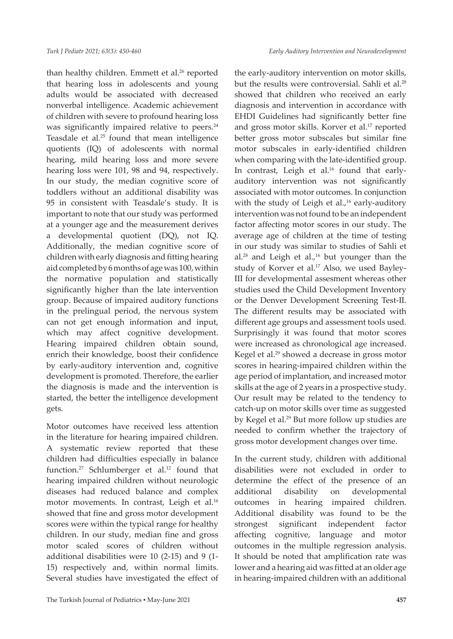than healthy children. Emmett et al.<sup>26</sup> reported that hearing loss in adolescents and young adults would be associated with decreased nonverbal intelligence. Academic achievement of children with severe to profound hearing loss was significantly impaired relative to peers.<sup>24</sup> Teasdale et al.<sup>25</sup> found that mean intelligence quotients (IQ) of adolescents with normal hearing, mild hearing loss and more severe hearing loss were 101, 98 and 94, respectively. In our study, the median cognitive score of toddlers without an additional disability was 95 in consistent with Teasdale's study. It is important to note that our study was performed at a younger age and the measurement derives a developmental quotient (DQ), not IQ. Additionally, the median cognitive score of children with early diagnosis and fitting hearing aid completed by 6 months of age was 100, within the normative population and statistically significantly higher than the late intervention group. Because of impaired auditory functions in the prelingual period, the nervous system can not get enough information and input, which may affect cognitive development. Hearing impaired children obtain sound, enrich their knowledge, boost their confidence by early-auditory intervention and, cognitive development is promoted. Therefore, the earlier the diagnosis is made and the intervention is started, the better the intelligence development gets.

Motor outcomes have received less attention in the literature for hearing impaired children. A systematic review reported that these children had difficulties especially in balance function.<sup>27</sup> Schlumberger et al.<sup>12</sup> found that hearing impaired children without neurologic diseases had reduced balance and complex motor movements. In contrast, Leigh et al.<sup>16</sup> showed that fine and gross motor development scores were within the typical range for healthy children. In our study, median fine and gross motor scaled scores of children without additional disabilities were 10 (2-15) and 9 (1- 15) respectively and, within normal limits. Several studies have investigated the effect of

the early-auditory intervention on motor skills, but the results were controversial. Sahli et al.<sup>28</sup> showed that children who received an early diagnosis and intervention in accordance with EHDI Guidelines had significantly better fine and gross motor skills. Korver et al.<sup>17</sup> reported better gross motor subscales but similar fine motor subscales in early-identified children when comparing with the late-identified group. In contrast, Leigh et al.<sup>16</sup> found that earlyauditory intervention was not significantly associated with motor outcomes. In conjunction with the study of Leigh et al., $16$  early-auditory intervention was not found to be an independent factor affecting motor scores in our study. The average age of children at the time of testing in our study was similar to studies of Sahli et al.<sup>28</sup> and Leigh et al.,<sup>16</sup> but younger than the study of Korver et al.<sup>17</sup> Also, we used Bayley-III for developmental assesment whereas other studies used the Child Development Inventory or the Denver Development Screening Test-II. The different results may be associated with different age groups and assessment tools used. Surprisingly it was found that motor scores were increased as chronological age increased. Kegel et al.29 showed a decrease in gross motor scores in hearing-impaired children within the age period of implantation, and increased motor skills at the age of 2 years in a prospective study. Our result may be related to the tendency to catch-up on motor skills over time as suggested by Kegel et al.29 But more follow up studies are needed to confirm whether the trajectory of gross motor development changes over time.

In the current study, children with additional disabilities were not excluded in order to determine the effect of the presence of an additional disability on developmental outcomes in hearing impaired children. Additional disability was found to be the strongest significant independent factor affecting cognitive, language and motor outcomes in the multiple regression analysis. It should be noted that amplification rate was lower and a hearing aid was fitted at an older age in hearing-impaired children with an additional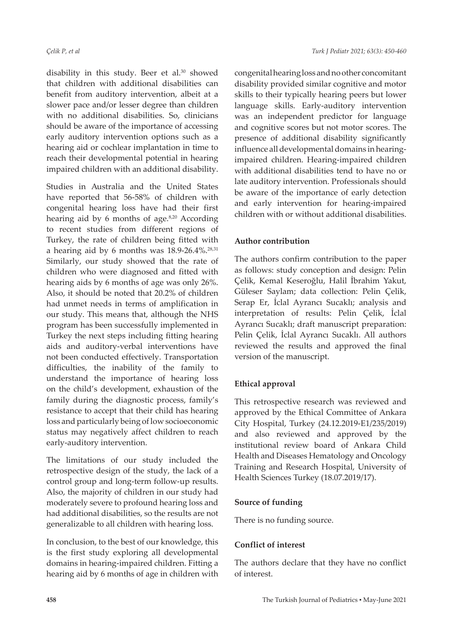disability in this study. Beer et al.<sup>30</sup> showed that children with additional disabilities can benefit from auditory intervention, albeit at a slower pace and/or lesser degree than children with no additional disabilities. So, clinicians should be aware of the importance of accessing early auditory intervention options such as a hearing aid or cochlear implantation in time to reach their developmental potential in hearing impaired children with an additional disability.

Studies in Australia and the United States have reported that 56-58% of children with congenital hearing loss have had their first hearing aid by 6 months of age. $8,20$  According to recent studies from different regions of Turkey, the rate of children being fitted with a hearing aid by 6 months was  $18.9-26.4\%$ <sup>28,31</sup> Similarly, our study showed that the rate of children who were diagnosed and fitted with hearing aids by 6 months of age was only 26%. Also, it should be noted that 20.2% of children had unmet needs in terms of amplification in our study. This means that, although the NHS program has been successfully implemented in Turkey the next steps including fitting hearing aids and auditory-verbal interventions have not been conducted effectively. Transportation difficulties, the inability of the family to understand the importance of hearing loss on the child's development, exhaustion of the family during the diagnostic process, family's resistance to accept that their child has hearing loss and particularly being of low socioeconomic status may negatively affect children to reach early-auditory intervention.

The limitations of our study included the retrospective design of the study, the lack of a control group and long-term follow-up results. Also, the majority of children in our study had moderately severe to profound hearing loss and had additional disabilities, so the results are not generalizable to all children with hearing loss.

In conclusion, to the best of our knowledge, this is the first study exploring all developmental domains in hearing-impaired children. Fitting a hearing aid by 6 months of age in children with

congenital hearing loss and no other concomitant disability provided similar cognitive and motor skills to their typically hearing peers but lower language skills. Early-auditory intervention was an independent predictor for language and cognitive scores but not motor scores. The presence of additional disability significantly influence all developmental domains in hearingimpaired children. Hearing-impaired children with additional disabilities tend to have no or late auditory intervention. Professionals should be aware of the importance of early detection and early intervention for hearing-impaired children with or without additional disabilities.

#### **Author contribution**

The authors confirm contribution to the paper as follows: study conception and design: Pelin Çelik, Kemal Keseroğlu, Halil İbrahim Yakut, Güleser Saylam; data collection: Pelin Çelik, Serap Er, İclal Ayrancı Sucaklı; analysis and interpretation of results: Pelin Çelik, İclal Ayrancı Sucaklı; draft manuscript preparation: Pelin Çelik, İclal Ayrancı Sucaklı. All authors reviewed the results and approved the final version of the manuscript.

#### **Ethical approval**

This retrospective research was reviewed and approved by the Ethical Committee of Ankara City Hospital, Turkey (24.12.2019-E1/235/2019) and also reviewed and approved by the institutional review board of Ankara Child Health and Diseases Hematology and Oncology Training and Research Hospital, University of Health Sciences Turkey (18.07.2019/17).

#### **Source of funding**

There is no funding source.

#### **Conflict of interest**

The authors declare that they have no conflict of interest.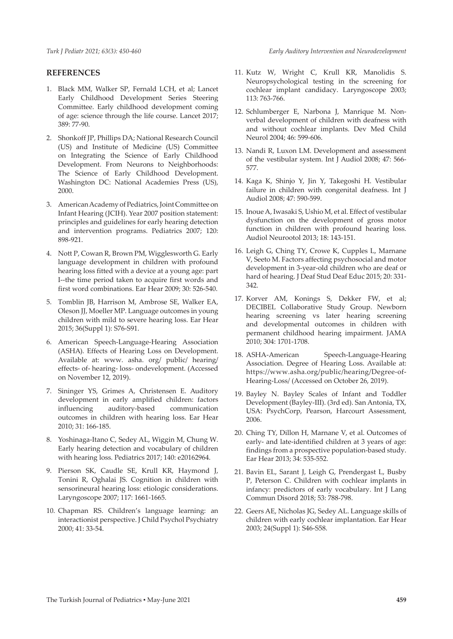*Turk J Pediatr 2021; 63(3): 450-460*

#### **REFERENCES**

- 1. Black MM, Walker SP, Fernald LCH, et al; Lancet Early Childhood Development Series Steering Committee. Early childhood development coming of age: science through the life course. Lancet 2017; 389: 77-90.
- 2. Shonkoff JP, Phillips DA; National Research Council (US) and Institute of Medicine (US) Committee on Integrating the Science of Early Childhood Development. From Neurons to Neighborhoods: The Science of Early Childhood Development. Washington DC: National Academies Press (US), 2000.
- 3. American Academy of Pediatrics, Joint Committee on Infant Hearing (JCIH). Year 2007 position statement: principles and guidelines for early hearing detection and intervention programs. Pediatrics 2007; 120: 898-921.
- 4. Nott P, Cowan R, Brown PM, Wigglesworth G. Early language development in children with profound hearing loss fitted with a device at a young age: part I--the time period taken to acquire first words and first word combinations. Ear Hear 2009; 30: 526-540.
- 5. Tomblin JB, Harrison M, Ambrose SE, Walker EA, Oleson JJ, Moeller MP. Language outcomes in young children with mild to severe hearing loss. Ear Hear 2015; 36(Suppl 1): S76-S91.
- 6. American Speech-Language-Hearing Association (ASHA). Effects of Hearing Loss on Development. Available at: www. asha. org/ public/ hearing/ effects- of- hearing- loss- ondevelopment. (Accessed on November 12, 2019).
- 7. Sininger YS, Grimes A, Christensen E. Auditory development in early amplified children: factors influencing auditory-based communication outcomes in children with hearing loss. Ear Hear 2010; 31: 166-185.
- 8. Yoshinaga-Itano C, Sedey AL, Wiggin M, Chung W. Early hearing detection and vocabulary of children with hearing loss. Pediatrics 2017; 140: e20162964.
- 9. Pierson SK, Caudle SE, Krull KR, Haymond J, Tonini R, Oghalai JS. Cognition in children with sensorineural hearing loss: etiologic considerations. Laryngoscope 2007; 117: 1661-1665.
- 10. Chapman RS. Children's language learning: an interactionist perspective. J Child Psychol Psychiatry 2000; 41: 33-54.
- 11. Kutz W, Wright C, Krull KR, Manolidis S. Neuropsychological testing in the screening for cochlear implant candidacy. Laryngoscope 2003; 113: 763-766.
- 12. Schlumberger E, Narbona J, Manrique M. Nonverbal development of children with deafness with and without cochlear implants. Dev Med Child Neurol 2004; 46: 599-606.
- 13. Nandi R, Luxon LM. Development and assessment of the vestibular system. Int J Audiol 2008; 47: 566- 577.
- 14. Kaga K, Shinjo Y, Jin Y, Takegoshi H. Vestibular failure in children with congenital deafness. Int J Audiol 2008; 47: 590-599.
- 15. Inoue A, Iwasaki S, Ushio M, et al. Effect of vestibular dysfunction on the development of gross motor function in children with profound hearing loss. Audiol Neurootol 2013; 18: 143-151.
- 16. Leigh G, Ching TY, Crowe K, Cupples L, Marnane V, Seeto M. Factors affecting psychosocial and motor development in 3-year-old children who are deaf or hard of hearing. J Deaf Stud Deaf Educ 2015; 20: 331-342.
- 17. Korver AM, Konings S, Dekker FW, et al; DECIBEL Collaborative Study Group. Newborn hearing screening vs later hearing screening and developmental outcomes in children with permanent childhood hearing impairment. JAMA 2010; 304: 1701-1708.
- 18. ASHA-American Speech-Language-Hearing Association. Degree of Hearing Loss. Available at: https://www.asha.org/public/hearing/Degree-of-Hearing-Loss/ (Accessed on October 26, 2019).
- 19. Bayley N. Bayley Scales of Infant and Toddler Development (Bayley-III). (3rd ed). San Antonia, TX, USA: PsychCorp, Pearson, Harcourt Assessment, 2006.
- 20. Ching TY, Dillon H, Marnane V, et al. Outcomes of early- and late-identified children at 3 years of age: findings from a prospective population-based study. Ear Hear 2013; 34: 535-552.
- 21. Bavin EL, Sarant J, Leigh G, Prendergast L, Busby P, Peterson C. Children with cochlear implants in infancy: predictors of early vocabulary. Int J Lang Commun Disord 2018; 53: 788-798.
- 22. Geers AE, Nicholas JG, Sedey AL. Language skills of children with early cochlear implantation. Ear Hear 2003; 24(Suppl 1): S46-S58.